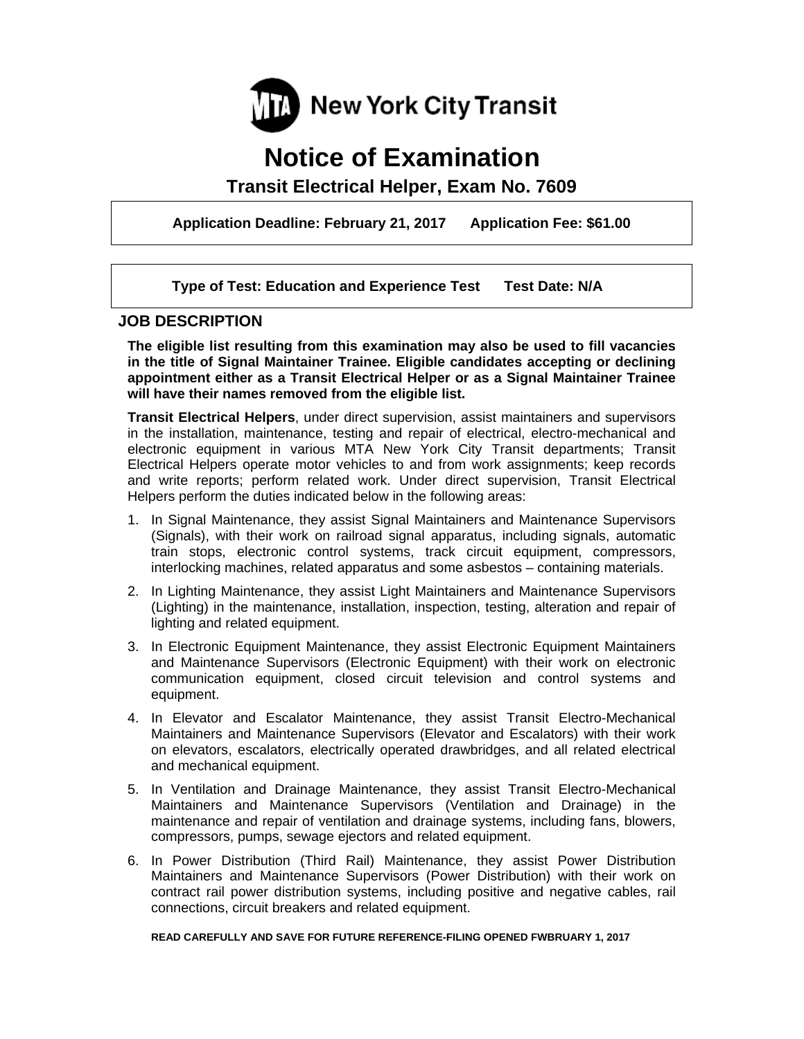

# **Notice of Examination**

**Transit Electrical Helper, Exam No. 7609** 

**Application Deadline: February 21, 2017 Application Fee: \$61.00** 

 **Type of Test: Education and Experience Test Test Date: N/A** 

# **JOB DESCRIPTION**

**The eligible list resulting from this examination may also be used to fill vacancies in the title of Signal Maintainer Trainee. Eligible candidates accepting or declining appointment either as a Transit Electrical Helper or as a Signal Maintainer Trainee will have their names removed from the eligible list.** 

**Transit Electrical Helpers**, under direct supervision, assist maintainers and supervisors in the installation, maintenance, testing and repair of electrical, electro-mechanical and electronic equipment in various MTA New York City Transit departments; Transit Electrical Helpers operate motor vehicles to and from work assignments; keep records and write reports; perform related work. Under direct supervision, Transit Electrical Helpers perform the duties indicated below in the following areas:

- 1. In Signal Maintenance, they assist Signal Maintainers and Maintenance Supervisors (Signals), with their work on railroad signal apparatus, including signals, automatic train stops, electronic control systems, track circuit equipment, compressors, interlocking machines, related apparatus and some asbestos – containing materials.
- 2. In Lighting Maintenance, they assist Light Maintainers and Maintenance Supervisors (Lighting) in the maintenance, installation, inspection, testing, alteration and repair of lighting and related equipment.
- 3. In Electronic Equipment Maintenance, they assist Electronic Equipment Maintainers and Maintenance Supervisors (Electronic Equipment) with their work on electronic communication equipment, closed circuit television and control systems and equipment.
- 4. In Elevator and Escalator Maintenance, they assist Transit Electro-Mechanical Maintainers and Maintenance Supervisors (Elevator and Escalators) with their work on elevators, escalators, electrically operated drawbridges, and all related electrical and mechanical equipment.
- 5. In Ventilation and Drainage Maintenance, they assist Transit Electro-Mechanical Maintainers and Maintenance Supervisors (Ventilation and Drainage) in the maintenance and repair of ventilation and drainage systems, including fans, blowers, compressors, pumps, sewage ejectors and related equipment.
- 6. In Power Distribution (Third Rail) Maintenance, they assist Power Distribution Maintainers and Maintenance Supervisors (Power Distribution) with their work on contract rail power distribution systems, including positive and negative cables, rail connections, circuit breakers and related equipment.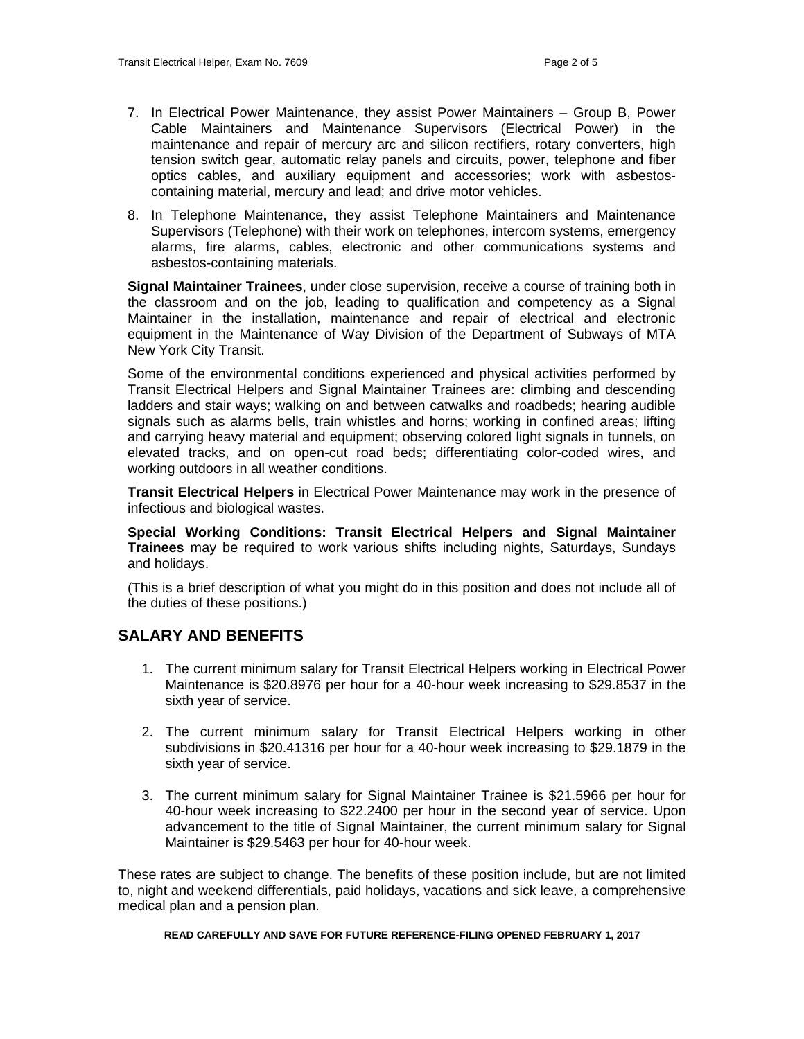- 7. In Electrical Power Maintenance, they assist Power Maintainers Group B, Power Cable Maintainers and Maintenance Supervisors (Electrical Power) in the maintenance and repair of mercury arc and silicon rectifiers, rotary converters, high tension switch gear, automatic relay panels and circuits, power, telephone and fiber optics cables, and auxiliary equipment and accessories; work with asbestoscontaining material, mercury and lead; and drive motor vehicles.
- 8. In Telephone Maintenance, they assist Telephone Maintainers and Maintenance Supervisors (Telephone) with their work on telephones, intercom systems, emergency alarms, fire alarms, cables, electronic and other communications systems and asbestos-containing materials.

**Signal Maintainer Trainees**, under close supervision, receive a course of training both in the classroom and on the job, leading to qualification and competency as a Signal Maintainer in the installation, maintenance and repair of electrical and electronic equipment in the Maintenance of Way Division of the Department of Subways of MTA New York City Transit.

Some of the environmental conditions experienced and physical activities performed by Transit Electrical Helpers and Signal Maintainer Trainees are: climbing and descending ladders and stair ways; walking on and between catwalks and roadbeds; hearing audible signals such as alarms bells, train whistles and horns; working in confined areas; lifting and carrying heavy material and equipment; observing colored light signals in tunnels, on elevated tracks, and on open-cut road beds; differentiating color-coded wires, and working outdoors in all weather conditions.

**Transit Electrical Helpers** in Electrical Power Maintenance may work in the presence of infectious and biological wastes.

**Special Working Conditions: Transit Electrical Helpers and Signal Maintainer Trainees** may be required to work various shifts including nights, Saturdays, Sundays and holidays.

(This is a brief description of what you might do in this position and does not include all of the duties of these positions.)

# **SALARY AND BENEFITS**

- 1. The current minimum salary for Transit Electrical Helpers working in Electrical Power Maintenance is \$20.8976 per hour for a 40-hour week increasing to \$29.8537 in the sixth year of service.
- 2. The current minimum salary for Transit Electrical Helpers working in other subdivisions in \$20.41316 per hour for a 40-hour week increasing to \$29.1879 in the sixth year of service.
- 3. The current minimum salary for Signal Maintainer Trainee is \$21.5966 per hour for 40-hour week increasing to \$22.2400 per hour in the second year of service. Upon advancement to the title of Signal Maintainer, the current minimum salary for Signal Maintainer is \$29.5463 per hour for 40-hour week.

These rates are subject to change. The benefits of these position include, but are not limited to, night and weekend differentials, paid holidays, vacations and sick leave, a comprehensive medical plan and a pension plan.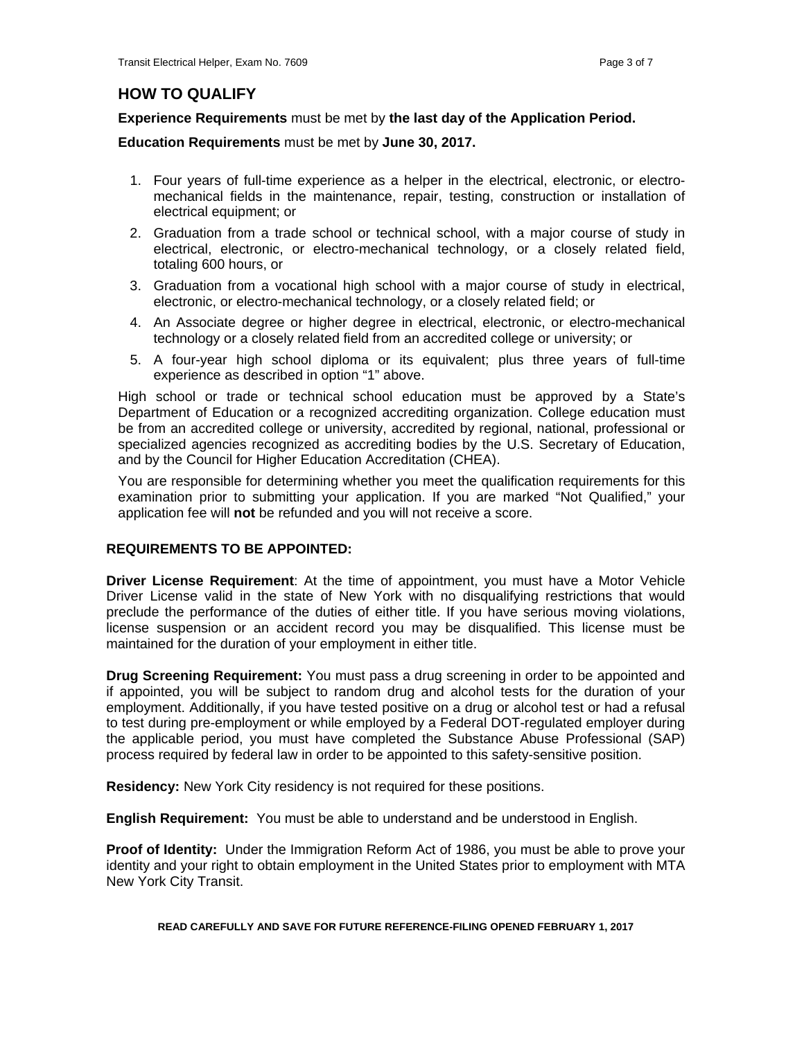# **HOW TO QUALIFY**

# **Experience Requirements** must be met by **the last day of the Application Period.**

**Education Requirements** must be met by **June 30, 2017.** 

- 1. Four years of full-time experience as a helper in the electrical, electronic, or electromechanical fields in the maintenance, repair, testing, construction or installation of electrical equipment; or
- 2. Graduation from a trade school or technical school, with a major course of study in electrical, electronic, or electro-mechanical technology, or a closely related field, totaling 600 hours, or
- 3. Graduation from a vocational high school with a major course of study in electrical, electronic, or electro-mechanical technology, or a closely related field; or
- 4. An Associate degree or higher degree in electrical, electronic, or electro-mechanical technology or a closely related field from an accredited college or university; or
- 5. A four-year high school diploma or its equivalent; plus three years of full-time experience as described in option "1" above.

High school or trade or technical school education must be approved by a State's Department of Education or a recognized accrediting organization. College education must be from an accredited college or university, accredited by regional, national, professional or specialized agencies recognized as accrediting bodies by the U.S. Secretary of Education, and by the Council for Higher Education Accreditation (CHEA).

You are responsible for determining whether you meet the qualification requirements for this examination prior to submitting your application. If you are marked "Not Qualified," your application fee will **not** be refunded and you will not receive a score.

# **REQUIREMENTS TO BE APPOINTED:**

**Driver License Requirement**: At the time of appointment, you must have a Motor Vehicle Driver License valid in the state of New York with no disqualifying restrictions that would preclude the performance of the duties of either title. If you have serious moving violations, license suspension or an accident record you may be disqualified. This license must be maintained for the duration of your employment in either title.

**Drug Screening Requirement:** You must pass a drug screening in order to be appointed and if appointed, you will be subject to random drug and alcohol tests for the duration of your employment. Additionally, if you have tested positive on a drug or alcohol test or had a refusal to test during pre-employment or while employed by a Federal DOT-regulated employer during the applicable period, you must have completed the Substance Abuse Professional (SAP) process required by federal law in order to be appointed to this safety-sensitive position.

**Residency:** New York City residency is not required for these positions.

**English Requirement:** You must be able to understand and be understood in English.

**Proof of Identity:** Under the Immigration Reform Act of 1986, you must be able to prove your identity and your right to obtain employment in the United States prior to employment with MTA New York City Transit.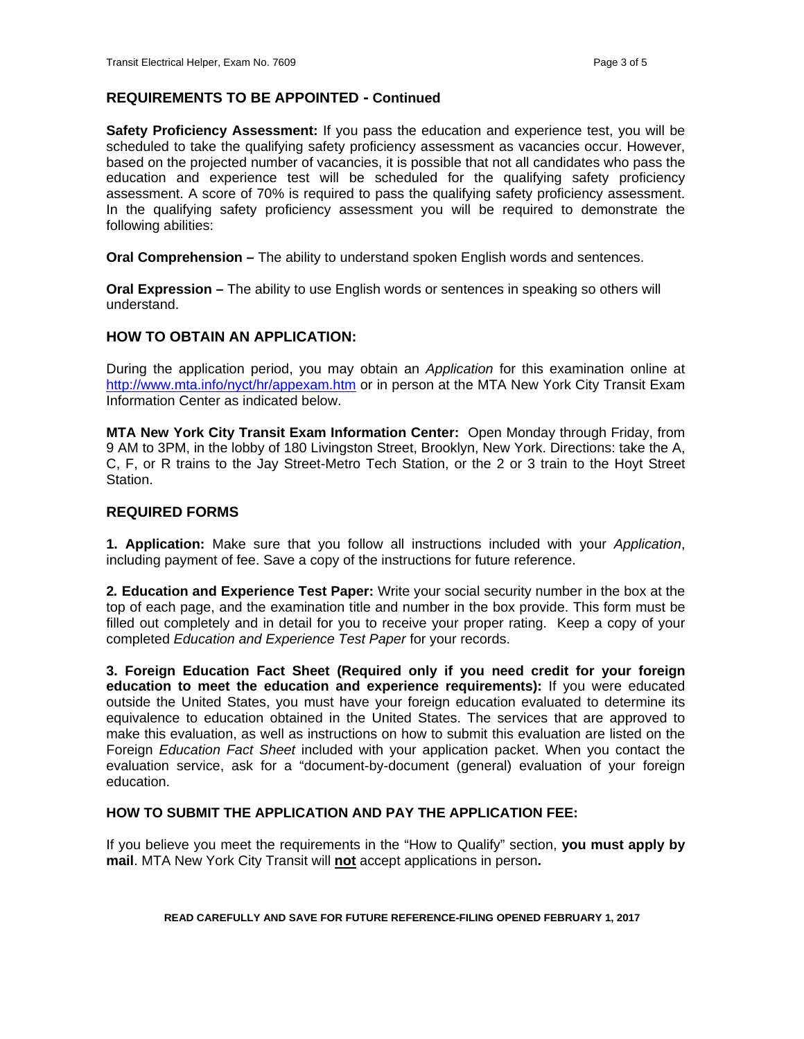# **REQUIREMENTS TO BE APPOINTED - Continued**

**Safety Proficiency Assessment:** If you pass the education and experience test, you will be scheduled to take the qualifying safety proficiency assessment as vacancies occur. However, based on the projected number of vacancies, it is possible that not all candidates who pass the education and experience test will be scheduled for the qualifying safety proficiency assessment. A score of 70% is required to pass the qualifying safety proficiency assessment. In the qualifying safety proficiency assessment you will be required to demonstrate the following abilities:

**Oral Comprehension –** The ability to understand spoken English words and sentences.

**Oral Expression –** The ability to use English words or sentences in speaking so others will understand.

# **HOW TO OBTAIN AN APPLICATION:**

During the application period, you may obtain an *Application* for this examination online at http://www.mta.info/nyct/hr/appexam.htm or in person at the MTA New York City Transit Exam Information Center as indicated below.

**MTA New York City Transit Exam Information Center:** Open Monday through Friday, from 9 AM to 3PM, in the lobby of 180 Livingston Street, Brooklyn, New York. Directions: take the A, C, F, or R trains to the Jay Street-Metro Tech Station, or the 2 or 3 train to the Hoyt Street Station.

# **REQUIRED FORMS**

**1. Application:** Make sure that you follow all instructions included with your *Application*, including payment of fee. Save a copy of the instructions for future reference.

**2***.* **Education and Experience Test Paper:** Write your social security number in the box at the top of each page, and the examination title and number in the box provide. This form must be filled out completely and in detail for you to receive your proper rating. Keep a copy of your completed *Education and Experience Test Paper* for your records.

**3. Foreign Education Fact Sheet (Required only if you need credit for your foreign education to meet the education and experience requirements):** If you were educated outside the United States, you must have your foreign education evaluated to determine its equivalence to education obtained in the United States. The services that are approved to make this evaluation, as well as instructions on how to submit this evaluation are listed on the Foreign *Education Fact Sheet* included with your application packet. When you contact the evaluation service, ask for a "document-by-document (general) evaluation of your foreign education.

#### **HOW TO SUBMIT THE APPLICATION AND PAY THE APPLICATION FEE:**

If you believe you meet the requirements in the "How to Qualify" section, **you must apply by mail**. MTA New York City Transit will **not** accept applications in person**.**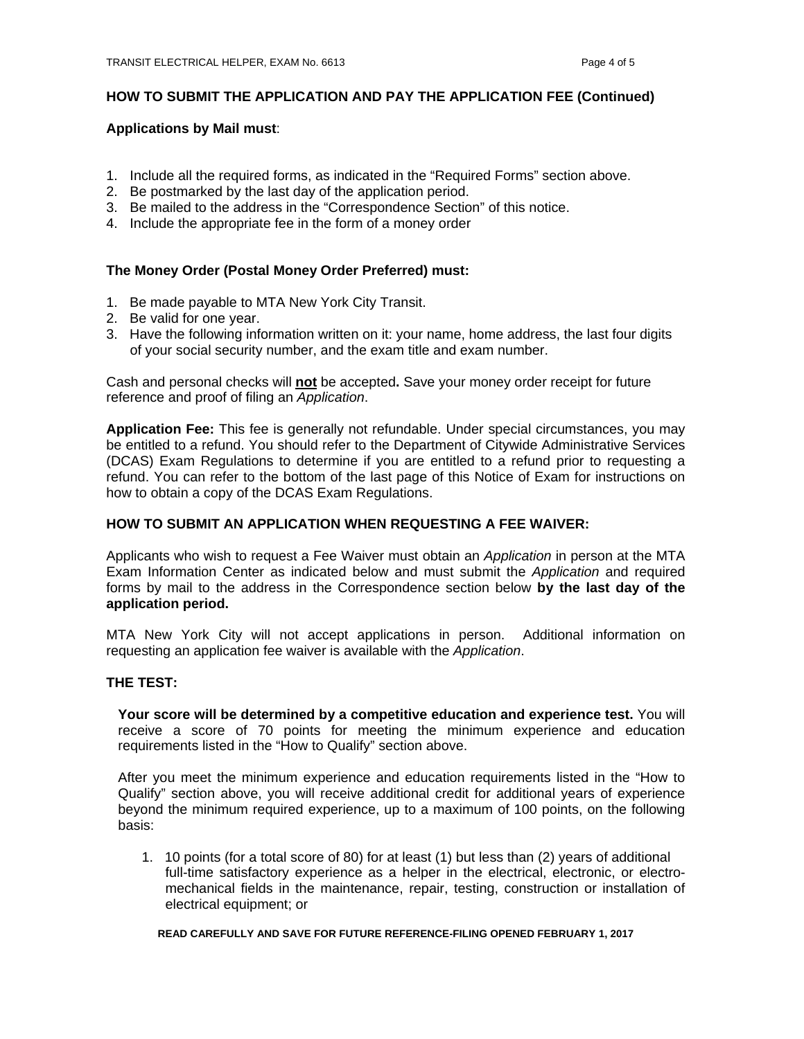# **HOW TO SUBMIT THE APPLICATION AND PAY THE APPLICATION FEE (Continued)**

#### **Applications by Mail must**:

- 1. Include all the required forms, as indicated in the "Required Forms" section above.
- 2. Be postmarked by the last day of the application period.
- 3. Be mailed to the address in the "Correspondence Section" of this notice.
- 4. Include the appropriate fee in the form of a money order

#### **The Money Order (Postal Money Order Preferred) must:**

- 1. Be made payable to MTA New York City Transit.
- 2. Be valid for one year.
- 3. Have the following information written on it: your name, home address, the last four digits of your social security number, and the exam title and exam number.

Cash and personal checks will **not** be accepted**.** Save your money order receipt for future reference and proof of filing an *Application*.

**Application Fee:** This fee is generally not refundable. Under special circumstances, you may be entitled to a refund. You should refer to the Department of Citywide Administrative Services (DCAS) Exam Regulations to determine if you are entitled to a refund prior to requesting a refund. You can refer to the bottom of the last page of this Notice of Exam for instructions on how to obtain a copy of the DCAS Exam Regulations.

#### **HOW TO SUBMIT AN APPLICATION WHEN REQUESTING A FEE WAIVER:**

Applicants who wish to request a Fee Waiver must obtain an *Application* in person at the MTA Exam Information Center as indicated below and must submit the *Application* and required forms by mail to the address in the Correspondence section below **by the last day of the application period.** 

MTA New York City will not accept applications in person. Additional information on requesting an application fee waiver is available with the *Application*.

#### **THE TEST:**

**Your score will be determined by a competitive education and experience test.** You will receive a score of 70 points for meeting the minimum experience and education requirements listed in the "How to Qualify" section above.

After you meet the minimum experience and education requirements listed in the "How to Qualify" section above, you will receive additional credit for additional years of experience beyond the minimum required experience, up to a maximum of 100 points, on the following basis:

 1. 10 points (for a total score of 80) for at least (1) but less than (2) years of additional full-time satisfactory experience as a helper in the electrical, electronic, or electromechanical fields in the maintenance, repair, testing, construction or installation of electrical equipment; or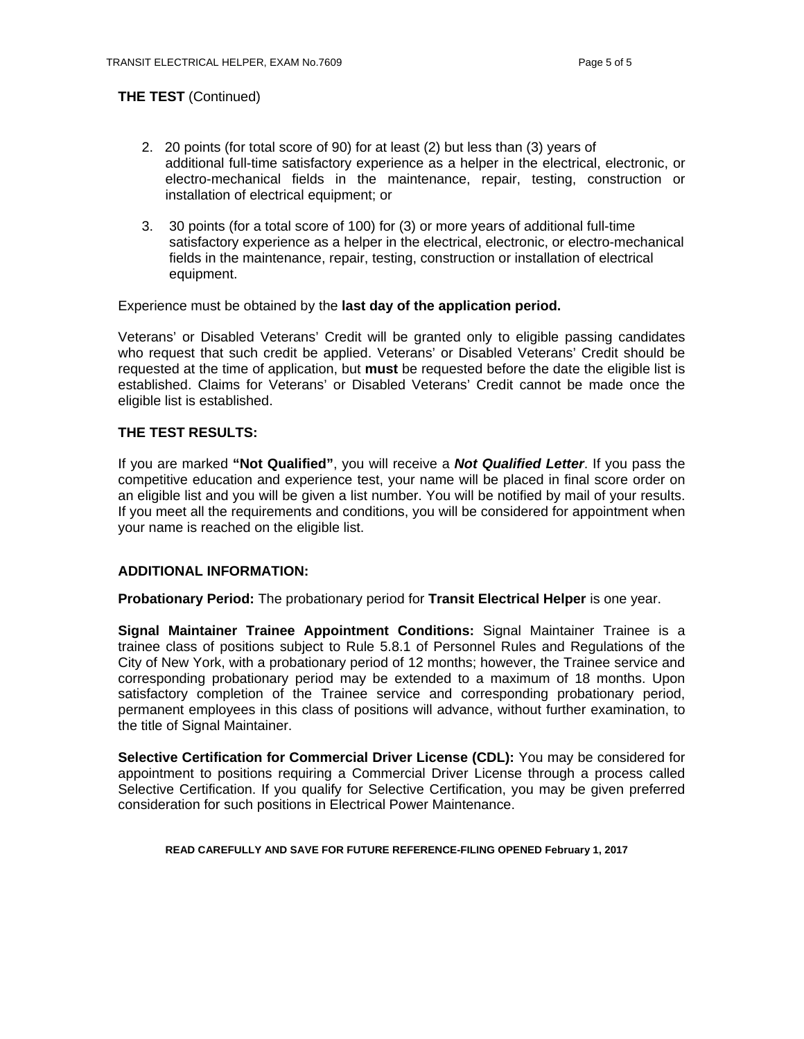# **THE TEST** (Continued)

- 2. 20 points (for total score of 90) for at least (2) but less than (3) years of additional full-time satisfactory experience as a helper in the electrical, electronic, or electro-mechanical fields in the maintenance, repair, testing, construction or installation of electrical equipment; or
- 3. 30 points (for a total score of 100) for (3) or more years of additional full-time satisfactory experience as a helper in the electrical, electronic, or electro-mechanical fields in the maintenance, repair, testing, construction or installation of electrical equipment.

#### Experience must be obtained by the **last day of the application period.**

Veterans' or Disabled Veterans' Credit will be granted only to eligible passing candidates who request that such credit be applied. Veterans' or Disabled Veterans' Credit should be requested at the time of application, but **must** be requested before the date the eligible list is established. Claims for Veterans' or Disabled Veterans' Credit cannot be made once the eligible list is established.

#### **THE TEST RESULTS:**

If you are marked **"Not Qualified"**, you will receive a *Not Qualified Letter*. If you pass the competitive education and experience test, your name will be placed in final score order on an eligible list and you will be given a list number. You will be notified by mail of your results. If you meet all the requirements and conditions, you will be considered for appointment when your name is reached on the eligible list.

#### **ADDITIONAL INFORMATION:**

**Probationary Period:** The probationary period for **Transit Electrical Helper** is one year.

**Signal Maintainer Trainee Appointment Conditions:** Signal Maintainer Trainee is a trainee class of positions subject to Rule 5.8.1 of Personnel Rules and Regulations of the City of New York, with a probationary period of 12 months; however, the Trainee service and corresponding probationary period may be extended to a maximum of 18 months. Upon satisfactory completion of the Trainee service and corresponding probationary period, permanent employees in this class of positions will advance, without further examination, to the title of Signal Maintainer.

**Selective Certification for Commercial Driver License (CDL):** You may be considered for appointment to positions requiring a Commercial Driver License through a process called Selective Certification. If you qualify for Selective Certification, you may be given preferred consideration for such positions in Electrical Power Maintenance.

#### **READ CAREFULLY AND SAVE FOR FUTURE REFERENCE-FILING OPENED February 1, 2017**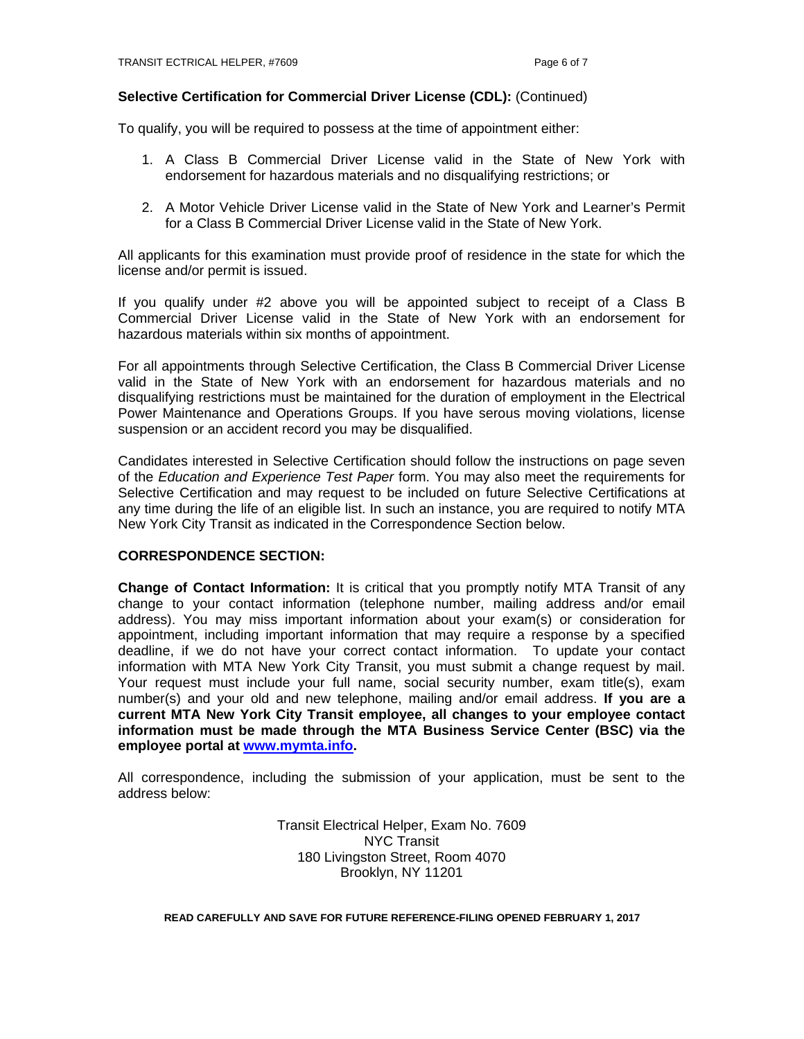#### **Selective Certification for Commercial Driver License (CDL):** (Continued)

To qualify, you will be required to possess at the time of appointment either:

- 1. A Class B Commercial Driver License valid in the State of New York with endorsement for hazardous materials and no disqualifying restrictions; or
- 2. A Motor Vehicle Driver License valid in the State of New York and Learner's Permit for a Class B Commercial Driver License valid in the State of New York.

All applicants for this examination must provide proof of residence in the state for which the license and/or permit is issued.

If you qualify under #2 above you will be appointed subject to receipt of a Class B Commercial Driver License valid in the State of New York with an endorsement for hazardous materials within six months of appointment.

For all appointments through Selective Certification, the Class B Commercial Driver License valid in the State of New York with an endorsement for hazardous materials and no disqualifying restrictions must be maintained for the duration of employment in the Electrical Power Maintenance and Operations Groups. If you have serous moving violations, license suspension or an accident record you may be disqualified.

Candidates interested in Selective Certification should follow the instructions on page seven of the *Education and Experience Test Paper* form. You may also meet the requirements for Selective Certification and may request to be included on future Selective Certifications at any time during the life of an eligible list. In such an instance, you are required to notify MTA New York City Transit as indicated in the Correspondence Section below.

## **CORRESPONDENCE SECTION:**

**Change of Contact Information:** It is critical that you promptly notify MTA Transit of any change to your contact information (telephone number, mailing address and/or email address). You may miss important information about your exam(s) or consideration for appointment, including important information that may require a response by a specified deadline, if we do not have your correct contact information. To update your contact information with MTA New York City Transit, you must submit a change request by mail. Your request must include your full name, social security number, exam title(s), exam number(s) and your old and new telephone, mailing and/or email address. **If you are a current MTA New York City Transit employee, all changes to your employee contact information must be made through the MTA Business Service Center (BSC) via the employee portal at www.mymta.info.** 

All correspondence, including the submission of your application, must be sent to the address below:

> Transit Electrical Helper, Exam No. 7609 NYC Transit 180 Livingston Street, Room 4070 Brooklyn, NY 11201